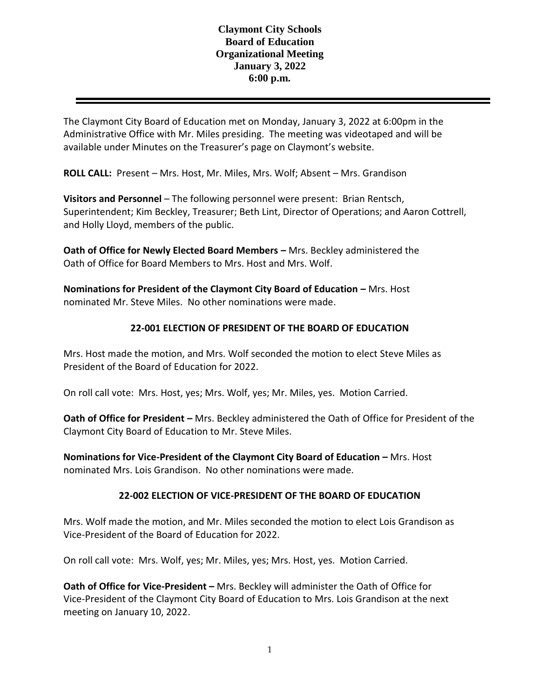## **Claymont City Schools Board of Education Organizational Meeting January 3, 2022 6:00 p.m.**

The Claymont City Board of Education met on Monday, January 3, 2022 at 6:00pm in the Administrative Office with Mr. Miles presiding. The meeting was videotaped and will be available under Minutes on the Treasurer's page on Claymont's website.

**ROLL CALL:** Present – Mrs. Host, Mr. Miles, Mrs. Wolf; Absent – Mrs. Grandison

**Visitors and Personnel** – The following personnel were present: Brian Rentsch, Superintendent; Kim Beckley, Treasurer; Beth Lint, Director of Operations; and Aaron Cottrell, and Holly Lloyd, members of the public.

**Oath of Office for Newly Elected Board Members –** Mrs. Beckley administered the Oath of Office for Board Members to Mrs. Host and Mrs. Wolf.

**Nominations for President of the Claymont City Board of Education – Mrs. Host** nominated Mr. Steve Miles. No other nominations were made.

# **22-001 ELECTION OF PRESIDENT OF THE BOARD OF EDUCATION**

Mrs. Host made the motion, and Mrs. Wolf seconded the motion to elect Steve Miles as President of the Board of Education for 2022.

On roll call vote: Mrs. Host, yes; Mrs. Wolf, yes; Mr. Miles, yes. Motion Carried.

**Oath of Office for President –** Mrs. Beckley administered the Oath of Office for President of the Claymont City Board of Education to Mr. Steve Miles.

**Nominations for Vice-President of the Claymont City Board of Education – Mrs. Host** nominated Mrs. Lois Grandison. No other nominations were made.

### **22-002 ELECTION OF VICE-PRESIDENT OF THE BOARD OF EDUCATION**

Mrs. Wolf made the motion, and Mr. Miles seconded the motion to elect Lois Grandison as Vice-President of the Board of Education for 2022.

On roll call vote: Mrs. Wolf, yes; Mr. Miles, yes; Mrs. Host, yes. Motion Carried.

**Oath of Office for Vice-President -** Mrs. Beckley will administer the Oath of Office for Vice-President of the Claymont City Board of Education to Mrs. Lois Grandison at the next meeting on January 10, 2022.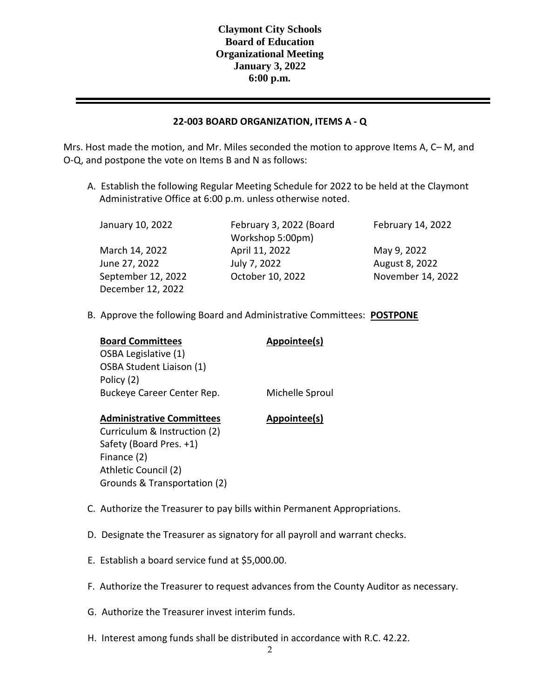### **22-003 BOARD ORGANIZATION, ITEMS A - Q**

Mrs. Host made the motion, and Mr. Miles seconded the motion to approve Items A, C– M, and O-Q, and postpone the vote on Items B and N as follows:

A. Establish the following Regular Meeting Schedule for 2022 to be held at the Claymont Administrative Office at 6:00 p.m. unless otherwise noted.

December 12, 2022

January 10, 2022 February 3, 2022 (Board Workshop 5:00pm) March 14, 2022 April 11, 2022 May 9, 2022 June 27, 2022 July 7, 2022 August 8, 2022

February 14, 2022

September 12, 2022 October 10, 2022 November 14, 2022

B. Approve the following Board and Administrative Committees: **POSTPONE**

| <b>Board Committees</b> |  |
|-------------------------|--|
| OSBA Legislative (1)    |  |

OSBA Student Liaison (1)

Policy (2)

**Appointee(s)** 

Buckeye Career Center Rep. Michelle Sproul

#### **Administrative Committees Appointee(s)**

Curriculum & Instruction (2) Safety (Board Pres. +1) Finance (2) Athletic Council (2) Grounds & Transportation (2)

- C. Authorize the Treasurer to pay bills within Permanent Appropriations.
- D. Designate the Treasurer as signatory for all payroll and warrant checks.
- E. Establish a board service fund at \$5,000.00.
- F. Authorize the Treasurer to request advances from the County Auditor as necessary.
- G. Authorize the Treasurer invest interim funds.
- H. Interest among funds shall be distributed in accordance with R.C. 42.22.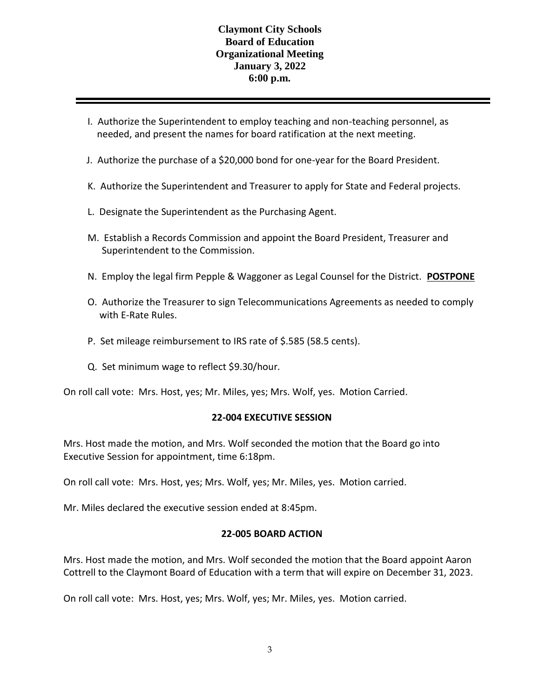## **Claymont City Schools Board of Education Organizational Meeting January 3, 2022 6:00 p.m.**

- I. Authorize the Superintendent to employ teaching and non-teaching personnel, as needed, and present the names for board ratification at the next meeting.
- J. Authorize the purchase of a \$20,000 bond for one-year for the Board President.
- K. Authorize the Superintendent and Treasurer to apply for State and Federal projects.
- L. Designate the Superintendent as the Purchasing Agent.
- M. Establish a Records Commission and appoint the Board President, Treasurer and Superintendent to the Commission.
- N. Employ the legal firm Pepple & Waggoner as Legal Counsel for the District. **POSTPONE**
- O. Authorize the Treasurer to sign Telecommunications Agreements as needed to comply with E-Rate Rules.
- P. Set mileage reimbursement to IRS rate of \$.585 (58.5 cents).
- Q. Set minimum wage to reflect \$9.30/hour.

On roll call vote: Mrs. Host, yes; Mr. Miles, yes; Mrs. Wolf, yes. Motion Carried.

#### **22-004 EXECUTIVE SESSION**

Mrs. Host made the motion, and Mrs. Wolf seconded the motion that the Board go into Executive Session for appointment, time 6:18pm.

On roll call vote: Mrs. Host, yes; Mrs. Wolf, yes; Mr. Miles, yes. Motion carried.

Mr. Miles declared the executive session ended at 8:45pm.

#### **22-005 BOARD ACTION**

Mrs. Host made the motion, and Mrs. Wolf seconded the motion that the Board appoint Aaron Cottrell to the Claymont Board of Education with a term that will expire on December 31, 2023.

On roll call vote: Mrs. Host, yes; Mrs. Wolf, yes; Mr. Miles, yes. Motion carried.